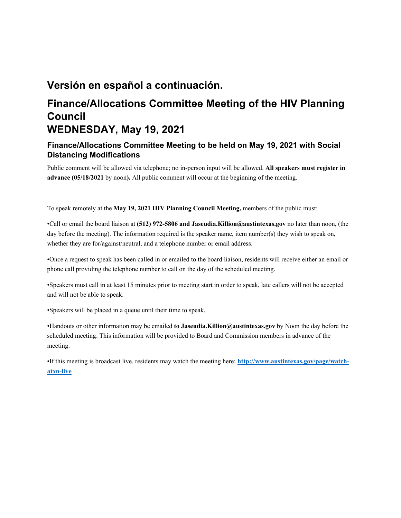# **Versión en español a continuación.**

# **Finance/Allocations Committee Meeting of the HIV Planning Council WEDNESDAY, May 19, 2021**

# **Finance/Allocations Committee Meeting to be held on May 19, 2021 with Social Distancing Modifications**

Public comment will be allowed via telephone; no in-person input will be allowed. **All speakers must register in advance (05/18/2021** by noon**).** All public comment will occur at the beginning of the meeting.

To speak remotely at the **May 19, 2021 HIV Planning Council Meeting,** members of the public must:

•Call or email the board liaison at **(512) 972-5806 and Jaseudia.Killion@austintexas.gov** no later than noon, (the day before the meeting). The information required is the speaker name, item number(s) they wish to speak on, whether they are for/against/neutral, and a telephone number or email address.

•Once a request to speak has been called in or emailed to the board liaison, residents will receive either an email or phone call providing the telephone number to call on the day of the scheduled meeting.

•Speakers must call in at least 15 minutes prior to meeting start in order to speak, late callers will not be accepted and will not be able to speak.

•Speakers will be placed in a queue until their time to speak.

•Handouts or other information may be emailed **to Jaseudia.Killion@austintexas.gov** by Noon the day before the scheduled meeting. This information will be provided to Board and Commission members in advance of the meeting.

•If this meeting is broadcast live, residents may watch the meeting here: **http://www.austintexas.gov/page/watchatxn-live**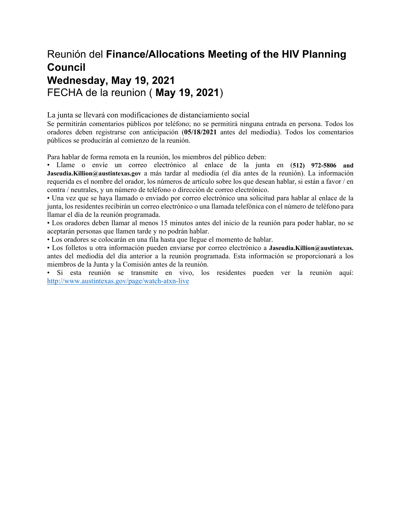# Reunión del **Finance/Allocations Meeting of the HIV Planning Council Wednesday, May 19, 2021**  FECHA de la reunion ( **May 19, 2021**)

La junta se llevará con modificaciones de distanciamiento social

Se permitirán comentarios públicos por teléfono; no se permitirá ninguna entrada en persona. Todos los oradores deben registrarse con anticipación (**05/18/2021** antes del mediodía). Todos los comentarios públicos se producirán al comienzo de la reunión.

Para hablar de forma remota en la reunión, los miembros del público deben:

• Llame o envíe un correo electrónico al enlace de la junta en (**512) 972-5806 and Jaseudia.Killion@austintexas.gov** a más tardar al mediodía (el día antes de la reunión). La información requerida es el nombre del orador, los números de artículo sobre los que desean hablar, si están a favor / en contra / neutrales, y un número de teléfono o dirección de correo electrónico.

• Una vez que se haya llamado o enviado por correo electrónico una solicitud para hablar al enlace de la junta, los residentes recibirán un correo electrónico o una llamada telefónica con el número de teléfono para llamar el día de la reunión programada.

• Los oradores deben llamar al menos 15 minutos antes del inicio de la reunión para poder hablar, no se aceptarán personas que llamen tarde y no podrán hablar.

• Los oradores se colocarán en una fila hasta que llegue el momento de hablar.

• Los folletos u otra información pueden enviarse por correo electrónico a **Jaseudia.Killion@austintexas.** antes del mediodía del día anterior a la reunión programada. Esta información se proporcionará a los miembros de la Junta y la Comisión antes de la reunión.

• Si esta reunión se transmite en vivo, los residentes pueden ver la reunión aquí: http://www.austintexas.gov/page/watch-atxn-live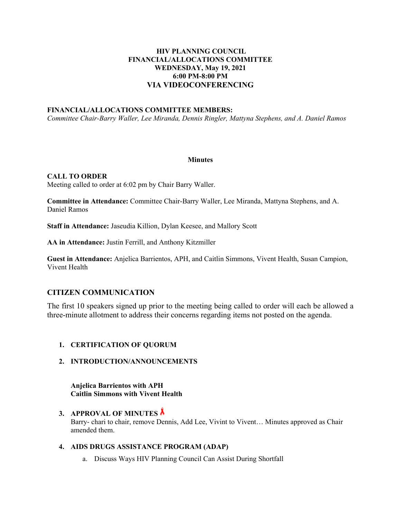## **HIV PLANNING COUNCIL FINANCIAL/ALLOCATIONS COMMITTEE WEDNESDAY, May 19, 2021 6:00 PM-8:00 PM VIA VIDEOCONFERENCING**

#### **FINANCIAL/ALLOCATIONS COMMITTEE MEMBERS:**

*Committee Chair-Barry Waller, Lee Miranda, Dennis Ringler, Mattyna Stephens, and A. Daniel Ramos* 

#### **Minutes**

#### **CALL TO ORDER**

Meeting called to order at 6:02 pm by Chair Barry Waller.

**Committee in Attendance:** Committee Chair-Barry Waller, Lee Miranda, Mattyna Stephens, and A. Daniel Ramos

**Staff in Attendance:** Jaseudia Killion, Dylan Keesee, and Mallory Scott

**AA in Attendance:** Justin Ferrill, and Anthony Kitzmiller

**Guest in Attendance:** Anjelica Barrientos, APH, and Caitlin Simmons, Vivent Health, Susan Campion, Vivent Health

## **CITIZEN COMMUNICATION**

The first 10 speakers signed up prior to the meeting being called to order will each be allowed a three-minute allotment to address their concerns regarding items not posted on the agenda.

- **1. CERTIFICATION OF QUORUM**
- **2. INTRODUCTION/ANNOUNCEMENTS**

**Anjelica Barrientos with APH Caitlin Simmons with Vivent Health** 

# **3. APPROVAL OF MINUTES**

Barry- chari to chair, remove Dennis, Add Lee, Vivint to Vivent… Minutes approved as Chair amended them.

## **4. AIDS DRUGS ASSISTANCE PROGRAM (ADAP)**

a. Discuss Ways HIV Planning Council Can Assist During Shortfall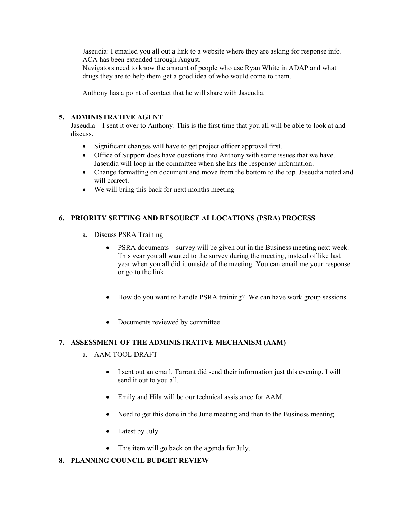Jaseudia: I emailed you all out a link to a website where they are asking for response info. ACA has been extended through August.

Navigators need to know the amount of people who use Ryan White in ADAP and what drugs they are to help them get a good idea of who would come to them.

Anthony has a point of contact that he will share with Jaseudia.

### **5. ADMINISTRATIVE AGENT**

Jaseudia – I sent it over to Anthony. This is the first time that you all will be able to look at and discuss.

- Significant changes will have to get project officer approval first.
- Office of Support does have questions into Anthony with some issues that we have. Jaseudia will loop in the committee when she has the response/ information.
- Change formatting on document and move from the bottom to the top. Jaseudia noted and will correct.
- We will bring this back for next months meeting

## **6. PRIORITY SETTING AND RESOURCE ALLOCATIONS (PSRA) PROCESS**

- a. Discuss PSRA Training
	- PSRA documents survey will be given out in the Business meeting next week. This year you all wanted to the survey during the meeting, instead of like last year when you all did it outside of the meeting. You can email me your response or go to the link.
	- How do you want to handle PSRA training? We can have work group sessions.
	- Documents reviewed by committee.

### **7. ASSESSMENT OF THE ADMINISTRATIVE MECHANISM (AAM)**

- a. AAM TOOL DRAFT
	- I sent out an email. Tarrant did send their information just this evening, I will send it out to you all.
	- Emily and Hila will be our technical assistance for AAM.
	- Need to get this done in the June meeting and then to the Business meeting.
	- Latest by July.
	- This item will go back on the agenda for July.

## **8. PLANNING COUNCIL BUDGET REVIEW**